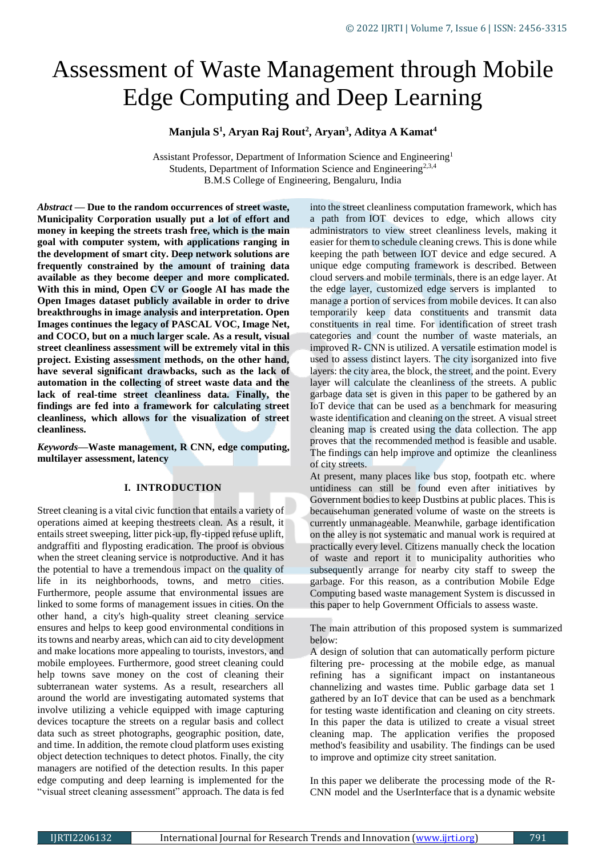# Assessment of Waste Management through Mobile Edge Computing and Deep Learning

# **Manjula S<sup>1</sup> , Aryan Raj Rout<sup>2</sup> , Aryan<sup>3</sup> , Aditya A Kamat<sup>4</sup>**

Assistant Professor, Department of Information Science and Engineering<sup>1</sup> Students, Department of Information Science and Engineering<sup>2,3,4</sup> B.M.S College of Engineering, Bengaluru, India

*Abstract —* **Due to the random occurrences of street waste, Municipality Corporation usually put a lot of effort and money in keeping the streets trash free, which is the main goal with computer system, with applications ranging in the development of smart city. Deep network solutions are frequently constrained by the amount of training data available as they become deeper and more complicated. With this in mind, Open CV or Google AI has made the Open Images dataset publicly available in order to drive breakthroughs in image analysis and interpretation. Open Images continues the legacy of PASCAL VOC, Image Net, and COCO, but on a much larger scale. As a result, visual street cleanliness assessment will be extremely vital in this project. Existing assessment methods, on the other hand, have several significant drawbacks, such as the lack of automation in the collecting of street waste data and the lack of real-time street cleanliness data. Finally, the findings are fed into a framework for calculating street cleanliness, which allows for the visualization of street cleanliness.**

*Keywords***—Waste management, R CNN, edge computing, multilayer assessment, latency**

## **I. INTRODUCTION**

Street cleaning is a vital civic function that entails a variety of operations aimed at keeping thestreets clean. As a result, it entails street sweeping, litter pick-up, fly-tipped refuse uplift, andgraffiti and flyposting eradication. The proof is obvious when the street cleaning service is notproductive. And it has the potential to have a tremendous impact on the quality of life in its neighborhoods, towns, and metro cities. Furthermore, people assume that environmental issues are linked to some forms of management issues in cities. On the other hand, a city's high-quality street cleaning service ensures and helps to keep good environmental conditions in its towns and nearby areas, which can aid to city development and make locations more appealing to tourists, investors, and mobile employees. Furthermore, good street cleaning could help towns save money on the cost of cleaning their subterranean water systems. As a result, researchers all around the world are investigating automated systems that involve utilizing a vehicle equipped with image capturing devices tocapture the streets on a regular basis and collect data such as street photographs, geographic position, date, and time. In addition, the remote cloud platform uses existing object detection techniques to detect photos. Finally, the city managers are notified of the detection results. In this paper edge computing and deep learning is implemented for the "visual street cleaning assessment" approach. The data is fed

into the street cleanliness computation framework, which has a path from IOT devices to edge, which allows city administrators to view street cleanliness levels, making it easier for them to schedule cleaning crews. This is done while keeping the path between IOT device and edge secured. A unique edge computing framework is described. Between cloud servers and mobile terminals, there is an edge layer. At the edge layer, customized edge servers is implanted to manage a portion of services from mobile devices. It can also temporarily keep data constituents and transmit data constituents in real time. For identification of street trash categories and count the number of waste materials, an improved R- CNN is utilized. A versatile estimation model is used to assess distinct layers. The city isorganized into five layers: the city area, the block, the street, and the point. Every layer will calculate the cleanliness of the streets. A public garbage data set is given in this paper to be gathered by an IoT device that can be used as a benchmark for measuring waste identification and cleaning on the street. A visual street cleaning map is created using the data collection. The app proves that the recommended method is feasible and usable. The findings can help improve and optimize the cleanliness of city streets.

At present, many places like bus stop, footpath etc. where untidiness can still be found even after initiatives by Government bodies to keep Dustbins at public places. This is becausehuman generated volume of waste on the streets is currently unmanageable. Meanwhile, garbage identification on the alley is not systematic and manual work is required at practically every level. Citizens manually check the location of waste and report it to municipality authorities who subsequently arrange for nearby city staff to sweep the garbage. For this reason, as a contribution Mobile Edge Computing based waste management System is discussed in this paper to help Government Officials to assess waste.

The main attribution of this proposed system is summarized below:

A design of solution that can automatically perform picture filtering pre- processing at the mobile edge, as manual refining has a significant impact on instantaneous channelizing and wastes time. Public garbage data set 1 gathered by an IoT device that can be used as a benchmark for testing waste identification and cleaning on city streets. In this paper the data is utilized to create a visual street cleaning map. The application verifies the proposed method's feasibility and usability. The findings can be used to improve and optimize city street sanitation.

In this paper we deliberate the processing mode of the R-CNN model and the UserInterface that is a dynamic website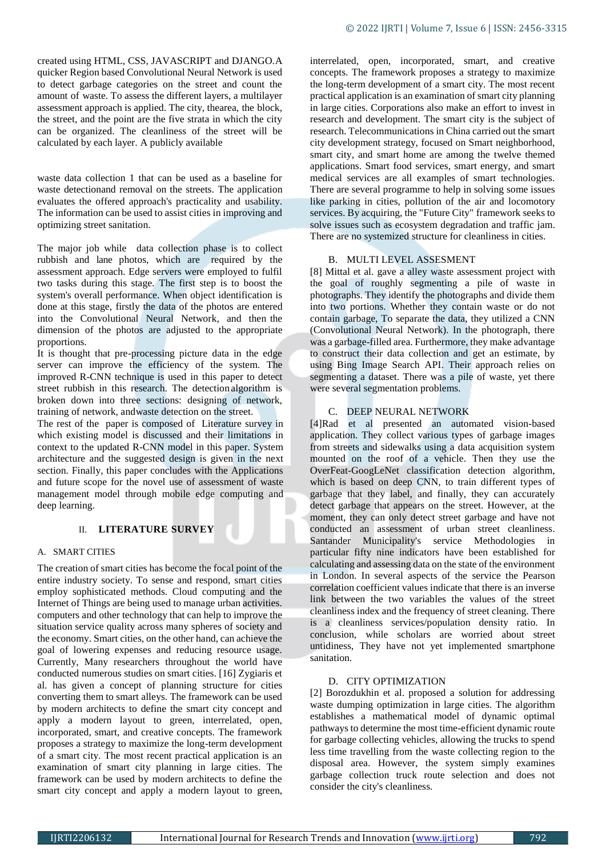created using HTML, CSS, JAVASCRIPT and DJANGO.A quicker Region based Convolutional Neural Network is used to detect garbage categories on the street and count the amount of waste. To assess the different layers, a multilayer assessment approach is applied. The city, thearea, the block, the street, and the point are the five strata in which the city can be organized. The cleanliness of the street will be calculated by each layer. A publicly available

waste data collection 1 that can be used as a baseline for waste detectionand removal on the streets. The application evaluates the offered approach's practicality and usability. The information can be used to assist cities in improving and optimizing street sanitation.

The major job while data collection phase is to collect rubbish and lane photos, which are required by the assessment approach. Edge servers were employed to fulfil two tasks during this stage. The first step is to boost the system's overall performance. When object identification is done at this stage, firstly the data of the photos are entered into the Convolutional Neural Network, and then the dimension of the photos are adjusted to the appropriate proportions.

It is thought that pre-processing picture data in the edge server can improve the efficiency of the system. The improved R-CNN technique is used in this paper to detect street rubbish in this research. The detectionalgorithm is broken down into three sections: designing of network, training of network, andwaste detection on the street.

The rest of the paper is composed of Literature survey in which existing model is discussed and their limitations in context to the updated R-CNN model in this paper. System architecture and the suggested design is given in the next section. Finally, this paper concludes with the Applications and future scope for the novel use of assessment of waste management model through mobile edge computing and deep learning.

## II. **LITERATURE SURVEY**

#### A. SMART CITIES

The creation of smart cities has become the focal point of the entire industry society. To sense and respond, smart cities employ sophisticated methods. Cloud computing and the Internet of Things are being used to manage urban activities. computers and other technology that can help to improve the situation service quality across many spheres of society and the economy. Smart cities, on the other hand, can achieve the goal of lowering expenses and reducing resource usage. Currently, Many researchers throughout the world have conducted numerous studies on smart cities. [16] Zygiaris et al. has given a concept of planning structure for cities converting them to smart alleys. The framework can be used by modern architects to define the smart city concept and apply a modern layout to green, interrelated, open, incorporated, smart, and creative concepts. The framework proposes a strategy to maximize the long-term development of a smart city. The most recent practical application is an examination of smart city planning in large cities. The framework can be used by modern architects to define the smart city concept and apply a modern layout to green,

interrelated, open, incorporated, smart, and creative concepts. The framework proposes a strategy to maximize the long-term development of a smart city. The most recent practical application is an examination of smart city planning in large cities. Corporations also make an effort to invest in research and development. The smart city is the subject of research. Telecommunications in China carried out the smart city development strategy, focused on Smart neighborhood, smart city, and smart home are among the twelve themed applications. Smart food services, smart energy, and smart medical services are all examples of smart technologies. There are several programme to help in solving some issues like parking in cities, pollution of the air and locomotory services. By acquiring, the "Future City" framework seeks to solve issues such as ecosystem degradation and traffic jam. There are no systemized structure for cleanliness in cities.

#### B. MULTI LEVEL ASSESMENT

[8] Mittal et al. gave a alley waste assessment project with the goal of roughly segmenting a pile of waste in photographs. They identify the photographs and divide them into two portions. Whether they contain waste or do not contain garbage, To separate the data, they utilized a CNN (Convolutional Neural Network). In the photograph, there was a garbage-filled area. Furthermore, they make advantage to construct their data collection and get an estimate, by using Bing Image Search API. Their approach relies on segmenting a dataset. There was a pile of waste, yet there were several segmentation problems.

## C. DEEP NEURAL NETWORK

[4]Rad et al presented an automated vision-based application. They collect various types of garbage images from streets and sidewalks using a data acquisition system mounted on the roof of a vehicle. Then they use the OverFeat-GoogLeNet classification detection algorithm, which is based on deep CNN, to train different types of garbage that they label, and finally, they can accurately detect garbage that appears on the street. However, at the moment, they can only detect street garbage and have not conducted an assessment of urban street cleanliness. Santander Municipality's service Methodologies in particular fifty nine indicators have been established for calculating and assessing data on the state of the environment in London. In several aspects of the service the Pearson correlation coefficient values indicate that there is an inverse link between the two variables the values of the street cleanliness index and the frequency of street cleaning. There is a cleanliness services/population density ratio. In conclusion, while scholars are worried about street untidiness, They have not yet implemented smartphone sanitation.

#### D. CITY OPTIMIZATION

[2] Borozdukhin et al. proposed a solution for addressing waste dumping optimization in large cities. The algorithm establishes a mathematical model of dynamic optimal pathways to determine the most time-efficient dynamic route for garbage collecting vehicles, allowing the trucks to spend less time travelling from the waste collecting region to the disposal area. However, the system simply examines garbage collection truck route selection and does not consider the city's cleanliness.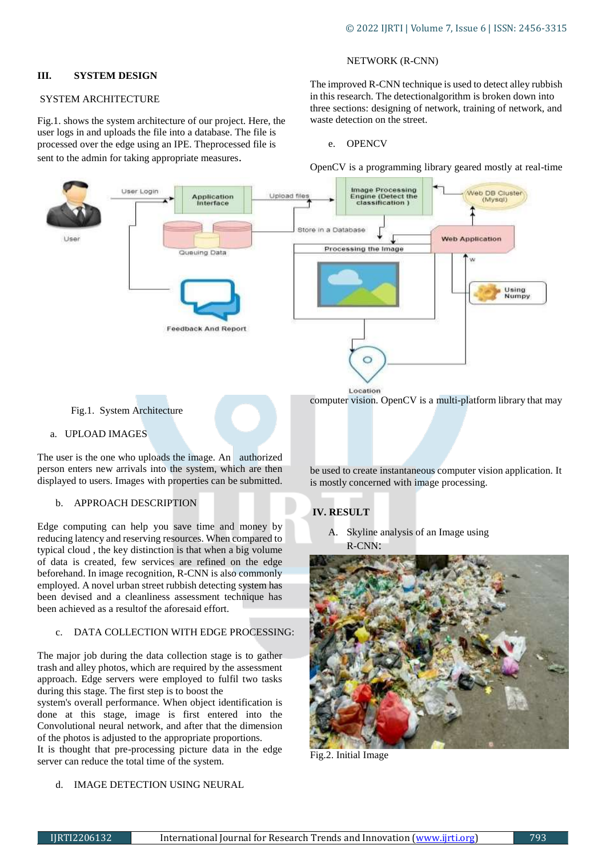## **III. SYSTEM DESIGN**

## SYSTEM ARCHITECTURE

Fig.1. shows the system architecture of our project. Here, the user logs in and uploads the file into a database. The file is processed over the edge using an IPE. Theprocessed file is sent to the admin for taking appropriate measures.

## NETWORK (R-CNN)

The improved R-CNN technique is used to detect alley rubbish in this research. The detectionalgorithm is broken down into three sections: designing of network, training of network, and waste detection on the street.

#### e. OPENCV

OpenCV is a programming library geared mostly at real-time



Fig.1. System Architecture

#### a. UPLOAD IMAGES

The user is the one who uploads the image. An authorized person enters new arrivals into the system, which are then displayed to users. Images with properties can be submitted.

#### b. APPROACH DESCRIPTION

Edge computing can help you save time and money by reducing latency and reserving resources. When compared to typical cloud , the key distinction is that when a big volume of data is created, few services are refined on the edge beforehand. In image recognition, R-CNN is also commonly employed. A novel urban street rubbish detecting system has been devised and a cleanliness assessment technique has been achieved as a resultof the aforesaid effort.

## c. DATA COLLECTION WITH EDGE PROCESSING:

The major job during the data collection stage is to gather trash and alley photos, which are required by the assessment approach. Edge servers were employed to fulfil two tasks during this stage. The first step is to boost the

system's overall performance. When object identification is done at this stage, image is first entered into the Convolutional neural network, and after that the dimension of the photos is adjusted to the appropriate proportions. It is thought that pre-processing picture data in the edge server can reduce the total time of the system.

## d. IMAGE DETECTION USING NEURAL

computer vision. OpenCV is a multi-platform library that may

be used to create instantaneous computer vision application. It is mostly concerned with image processing.

## **IV. RESULT**

A. Skyline analysis of an Image using R-CNN:



Fig.2. Initial Image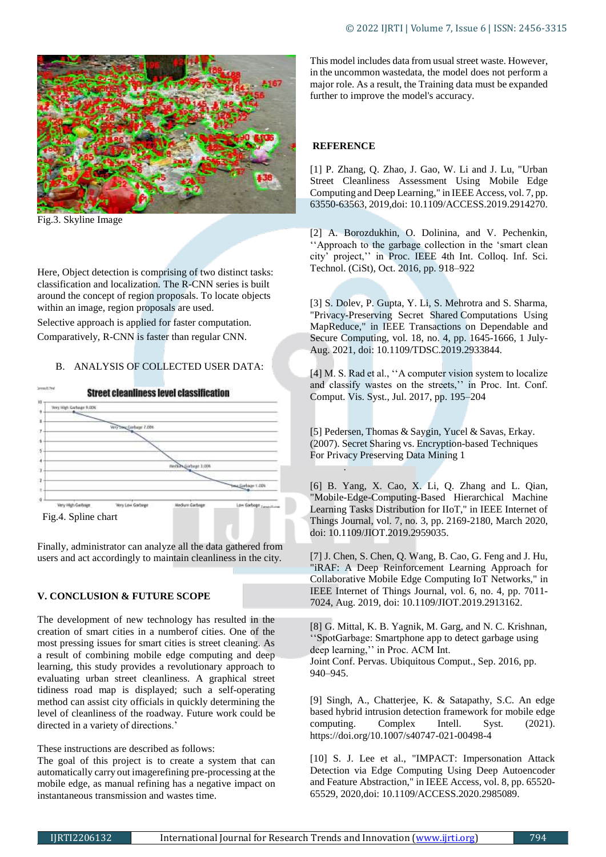

Fig.3. Skyline Image

Here, Object detection is comprising of two distinct tasks: classification and localization. The R-CNN series is built around the concept of region proposals. To locate objects within an image, region proposals are used.

Selective approach is applied for faster computation. Comparatively, R-CNN is faster than regular CNN.

# B. ANALYSIS OF COLLECTED USER DATA:



Finally, administrator can analyze all the data gathered from users and act accordingly to maintain cleanliness in the city.

# **V. CONCLUSION & FUTURE SCOPE**

The development of new technology has resulted in the creation of smart cities in a numberof cities. One of the most pressing issues for smart cities is street cleaning. As a result of combining mobile edge computing and deep learning, this study provides a revolutionary approach to evaluating urban street cleanliness. A graphical street tidiness road map is displayed; such a self-operating method can assist city officials in quickly determining the level of cleanliness of the roadway. Future work could be directed in a variety of directions.'

These instructions are described as follows:

The goal of this project is to create a system that can automatically carry out imagerefining pre-processing at the mobile edge, as manual refining has a negative impact on instantaneous transmission and wastes time.

This model includes data from usual street waste. However, in the uncommon wastedata, the model does not perform a major role. As a result, the Training data must be expanded further to improve the model's accuracy.

# **REFERENCE**

[1] P. Zhang, Q. Zhao, J. Gao, W. Li and J. Lu, "Urban Street Cleanliness Assessment Using Mobile Edge Computing and Deep Learning," in IEEE Access, vol. 7, pp. 63550-63563, 2019,doi: 10.1109/ACCESS.2019.2914270.

[2] A. Borozdukhin, O. Dolinina, and V. Pechenkin, ''Approach to the garbage collection in the 'smart clean city' project,'' in Proc. IEEE 4th Int. Colloq. Inf. Sci. Technol. (CiSt), Oct. 2016, pp. 918–922

[3] S. Dolev, P. Gupta, Y. Li, S. Mehrotra and S. Sharma, "Privacy-Preserving Secret Shared Computations Using MapReduce," in IEEE Transactions on Dependable and Secure Computing, vol. 18, no. 4, pp. 1645-1666, 1 July-Aug. 2021, doi: 10.1109/TDSC.2019.2933844.

[4] M. S. Rad et al., "A computer vision system to localize and classify wastes on the streets,'' in Proc. Int. Conf. Comput. Vis. Syst., Jul. 2017, pp. 195–204

[5] Pedersen, Thomas & Saygin, Yucel & Savas, Erkay. (2007). Secret Sharing vs. Encryption-based Techniques For Privacy Preserving Data Mining 1 .

[6] B. Yang, X. Cao, X. Li, Q. Zhang and L. Qian, "Mobile-Edge-Computing-Based Hierarchical Machine Learning Tasks Distribution for IIoT," in IEEE Internet of Things Journal, vol. 7, no. 3, pp. 2169-2180, March 2020, doi: 10.1109/JIOT.2019.2959035.

[7] J. Chen, S. Chen, Q. Wang, B. Cao, G. Feng and J. Hu, "iRAF: A Deep Reinforcement Learning Approach for Collaborative Mobile Edge Computing IoT Networks," in IEEE Internet of Things Journal, vol. 6, no. 4, pp. 7011- 7024, Aug. 2019, doi: 10.1109/JIOT.2019.2913162.

[8] G. Mittal, K. B. Yagnik, M. Garg, and N. C. Krishnan, ''SpotGarbage: Smartphone app to detect garbage using deep learning,'' in Proc. ACM Int. Joint Conf. Pervas. Ubiquitous Comput., Sep. 2016, pp. 940–945.

[9] Singh, A., Chatterjee, K. & Satapathy, S.C. An edge based hybrid intrusion detection framework for mobile edge computing. Complex Intell. Syst. (2021). <https://doi.org/10.1007/s40747-021-00498-4>

[10] S. J. Lee et al., "IMPACT: Impersonation Attack Detection via Edge Computing Using Deep Autoencoder and Feature Abstraction," in IEEE Access, vol. 8, pp. 65520- 65529, 2020,doi: 10.1109/ACCESS.2020.2985089.